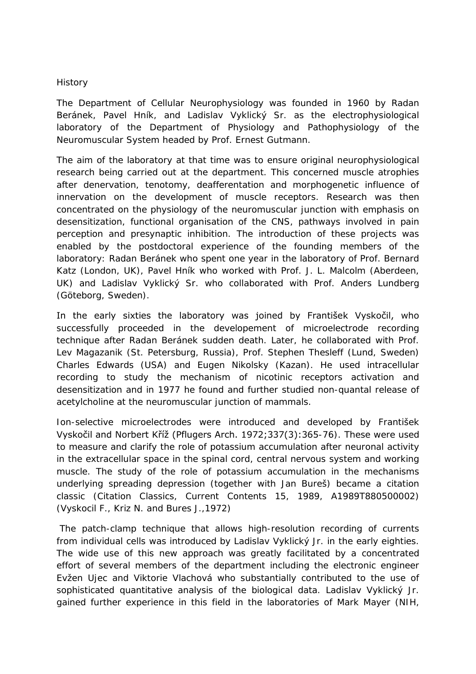## History

The Department of Cellular Neurophysiology was founded in 1960 by Radan Beránek, Pavel Hník, and Ladislav Vyklický Sr. as the electrophysiological laboratory of the Department of Physiology and Pathophysiology of the Neuromuscular System headed by Prof. Ernest Gutmann.

The aim of the laboratory at that time was to ensure original neurophysiological research being carried out at the department. This concerned muscle atrophies after denervation, tenotomy, deafferentation and morphogenetic influence of innervation on the development of muscle receptors. Research was then concentrated on the physiology of the neuromuscular junction with emphasis on desensitization, functional organisation of the CNS, pathways involved in pain perception and presynaptic inhibition. The introduction of these projects was enabled by the postdoctoral experience of the founding members of the laboratory: Radan Beránek who spent one year in the laboratory of Prof. Bernard Katz (London, UK), Pavel Hník who worked with Prof. J. L. Malcolm (Aberdeen, UK) and Ladislav Vyklický Sr. who collaborated with Prof. Anders Lundberg (Göteborg, Sweden).

In the early sixties the laboratory was joined by František Vyskočil, who successfully proceeded in the developement of microelectrode recording technique after Radan Beránek sudden death. Later, he collaborated with Prof. Lev Magazanik (St. Petersburg, Russia), Prof. Stephen Thesleff (Lund, Sweden) Charles Edwards (USA) and Eugen Nikolsky (Kazan). He used intracellular recording to study the mechanism of nicotinic receptors activation and desensitization and in 1977 he found and further studied non-quantal release of acetylcholine at the neuromuscular junction of mammals.

Ion-selective microelectrodes were introduced and developed by František Vyskočil and Norbert Kříž (Pflugers Arch. 1972;337(3):365-76). These were used to measure and clarify the role of potassium accumulation after neuronal activity in the extracellular space in the spinal cord, central nervous system and working muscle. The study of the role of potassium accumulation in the mechanisms underlying spreading depression (together with Jan Bureš) became a citation classic (Citation Classics, Current Contents 15, 1989, A1989T880500002) (Vyskocil F., Kriz N. and Bures J.,1972)

The patch-clamp technique that allows high-resolution recording of currents from individual cells was introduced by Ladislav Vyklický Jr. in the early eighties. The wide use of this new approach was greatly facilitated by a concentrated effort of several members of the department including the electronic engineer Evžen Ujec and Viktorie Vlachová who substantially contributed to the use of sophisticated quantitative analysis of the biological data. Ladislav Vyklický Jr. gained further experience in this field in the laboratories of Mark Mayer (NIH,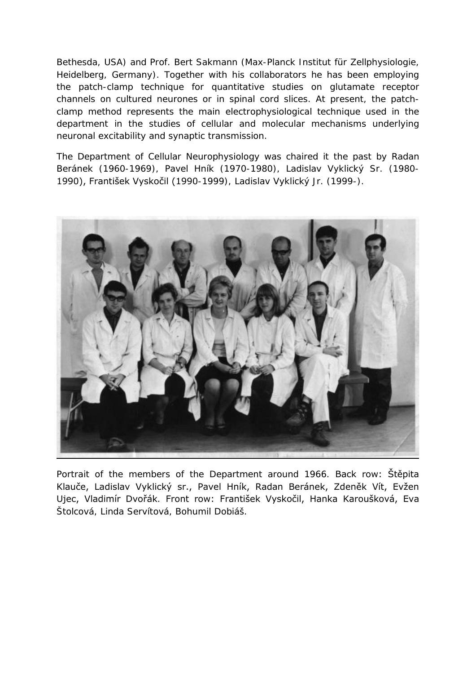Bethesda, USA) and Prof. Bert Sakmann (Max-Planck Institut für Zellphysiologie, Heidelberg, Germany). Together with his collaborators he has been employing the patch-clamp technique for quantitative studies on glutamate receptor channels on cultured neurones or in spinal cord slices. At present, the patchclamp method represents the main electrophysiological technique used in the department in the studies of cellular and molecular mechanisms underlying neuronal excitability and synaptic transmission.

The Department of Cellular Neurophysiology was chaired it the past by Radan Beránek (1960-1969), Pavel Hník (1970-1980), Ladislav Vyklický Sr. (1980- 1990), František Vyskočil (1990-1999), Ladislav Vyklický Jr. (1999-).



Portrait of the members of the Department around 1966. Back row: Štěpita Klauče, Ladislav Vyklický sr., Pavel Hník, Radan Beránek, Zdeněk Vít, Evžen Ujec, Vladimír Dvořák. Front row: František Vyskočil, Hanka Karoušková, Eva Štolcová, Linda Servítová, Bohumil Dobiáš.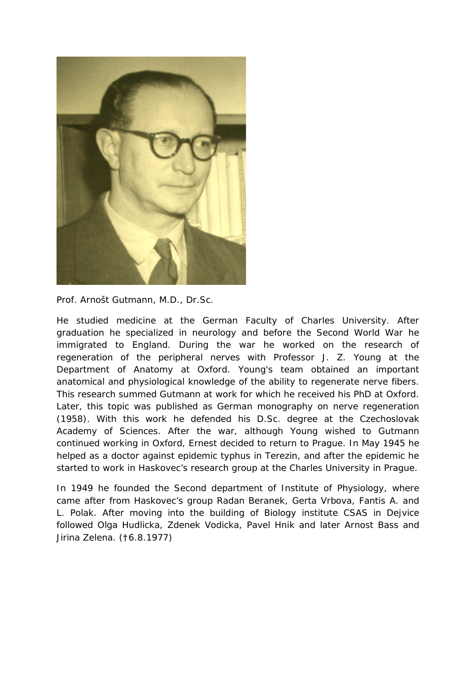

Prof. Arnošt Gutmann, M.D., Dr.Sc.

He studied medicine at the German Faculty of Charles University. After graduation he specialized in neurology and before the Second World War he immigrated to England. During the war he worked on the research of regeneration of the peripheral nerves with Professor J. Z. Young at the Department of Anatomy at Oxford. Young's team obtained an important anatomical and physiological knowledge of the ability to regenerate nerve fibers. This research summed Gutmann at work for which he received his PhD at Oxford. Later, this topic was published as German monography on nerve regeneration (1958). With this work he defended his D.Sc. degree at the Czechoslovak Academy of Sciences. After the war, although Young wished to Gutmann continued working in Oxford, Ernest decided to return to Prague. In May 1945 he helped as a doctor against epidemic typhus in Terezin, and after the epidemic he started to work in Haskovec's research group at the Charles University in Prague.

In 1949 he founded the Second department of Institute of Physiology, where came after from Haskovec's group Radan Beranek, Gerta Vrbova, Fantis A. and L. Polak. After moving into the building of Biology institute CSAS in Dejvice followed Olga Hudlicka, Zdenek Vodicka, Pavel Hnik and later Arnost Bass and Jirina Zelena. (†6.8.1977)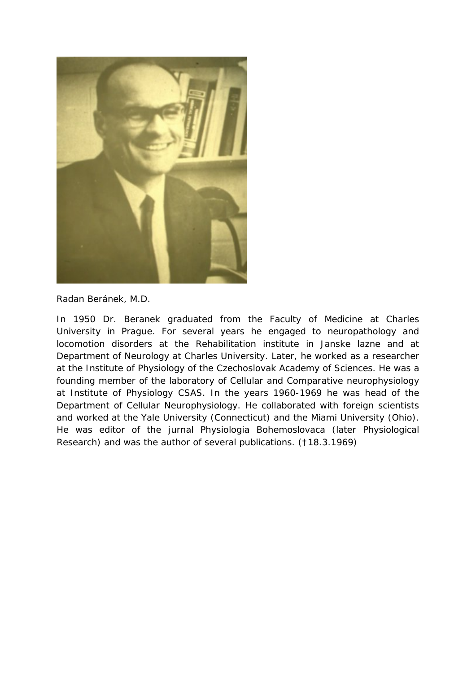

Radan Beránek, M.D.

In 1950 Dr. Beranek graduated from the Faculty of Medicine at Charles University in Prague. For several years he engaged to neuropathology and locomotion disorders at the Rehabilitation institute in Janske lazne and at Department of Neurology at Charles University. Later, he worked as a researcher at the Institute of Physiology of the Czechoslovak Academy of Sciences. He was a founding member of the laboratory of Cellular and Comparative neurophysiology at Institute of Physiology CSAS. In the years 1960-1969 he was head of the Department of Cellular Neurophysiology. He collaborated with foreign scientists and worked at the Yale University [\(Connecticut\)](https://www.google.cz/search?biw=1134&bih=864&q=new+haven&stick=H4sIAAAAAAAAAOPgE-LQz9U3sLAwNFUCs9KM8tK0VLOTrfTzi9IT8zKrEksy8_NQOFZp-aV5KakpACVEYqc9AAAA&sa=X&sqi=2&ved=0CJoBEJsTKAEwGGoVChMI5cikhNLWyAIVhZMsCh0VuQHX) and the Miami University (Ohio). He was editor of the jurnal Physiologia Bohemoslovaca (later Physiological Research) and was the author of several publications. (†18.3.1969)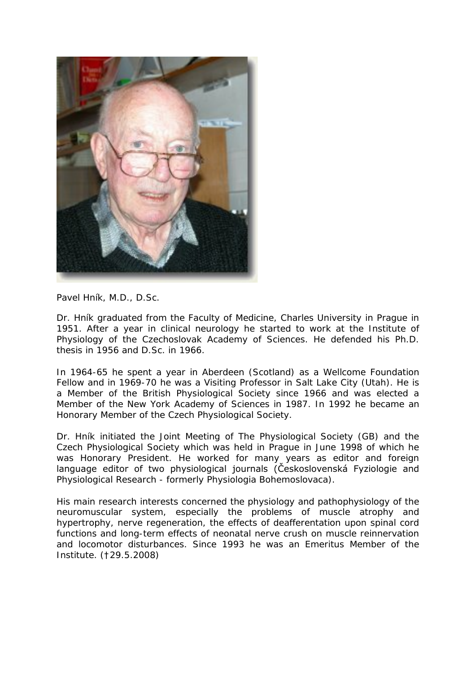

Pavel Hník, M.D., D.Sc.

Dr. Hník graduated from the Faculty of Medicine, Charles University in Prague in 1951. After a year in clinical neurology he started to work at the Institute of Physiology of the Czechoslovak Academy of Sciences. He defended his Ph.D. thesis in 1956 and D.Sc. in 1966.

In 1964-65 he spent a year in Aberdeen (Scotland) as a Wellcome Foundation Fellow and in 1969-70 he was a Visiting Professor in Salt Lake City (Utah). He is a Member of the British Physiological Society since 1966 and was elected a Member of the New York Academy of Sciences in 1987. In 1992 he became an Honorary Member of the Czech Physiological Society.

Dr. Hník initiated the Joint Meeting of The Physiological Society (GB) and the Czech Physiological Society which was held in Prague in June 1998 of which he was Honorary President. He worked for many years as editor and foreign language editor of two physiological journals (Československá Fyziologie and [Physiological Research](http://www.lf2.cuni.cz/physiolres/physiolres.htm) - formerly Physiologia Bohemoslovaca).

His main research interests concerned the physiology and pathophysiology of the neuromuscular system, especially the problems of muscle atrophy and hypertrophy, nerve regeneration, the effects of deafferentation upon spinal cord functions and long-term effects of neonatal nerve crush on muscle reinnervation and locomotor disturbances. Since 1993 he was an Emeritus Member of the Institute. (†29.5.2008)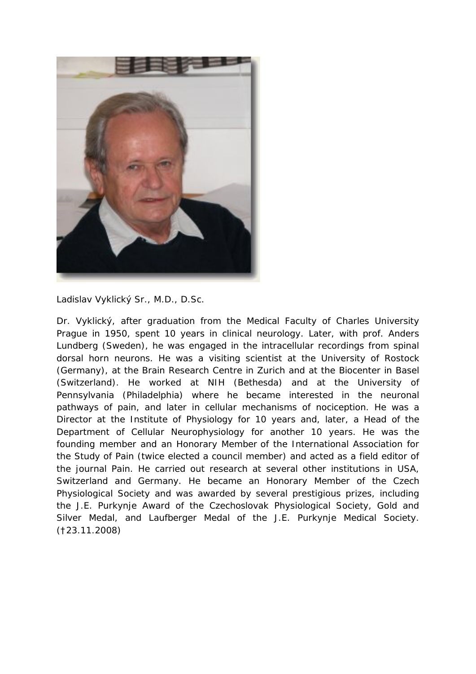

Ladislav Vyklický Sr., M.D., D.Sc.

Dr. Vyklický, after graduation from the Medical Faculty of Charles University Prague in 1950, spent 10 years in clinical neurology. Later, with prof. Anders Lundberg (Sweden), he was engaged in the intracellular recordings from spinal dorsal horn neurons. He was a visiting scientist at the University of Rostock (Germany), at the Brain Research Centre in Zurich and at the Biocenter in Basel (Switzerland). He worked at NIH (Bethesda) and at the University of Pennsylvania (Philadelphia) where he became interested in the neuronal pathways of pain, and later in cellular mechanisms of nociception. He was a Director at the Institute of Physiology for 10 years and, later, a Head of the Department of Cellular Neurophysiology for another 10 years. He was the founding member and an Honorary Member of the International Association for the Study of Pain (twice elected a council member) and acted as a field editor of the journal Pain. He carried out research at several other institutions in USA, Switzerland and Germany. He became an Honorary Member of the Czech Physiological Society and was awarded by several prestigious prizes, including the J.E. Purkynje Award of the Czechoslovak Physiological Society, Gold and Silver Medal, and Laufberger Medal of the J.E. Purkynje Medical Society. (†23.11.2008)